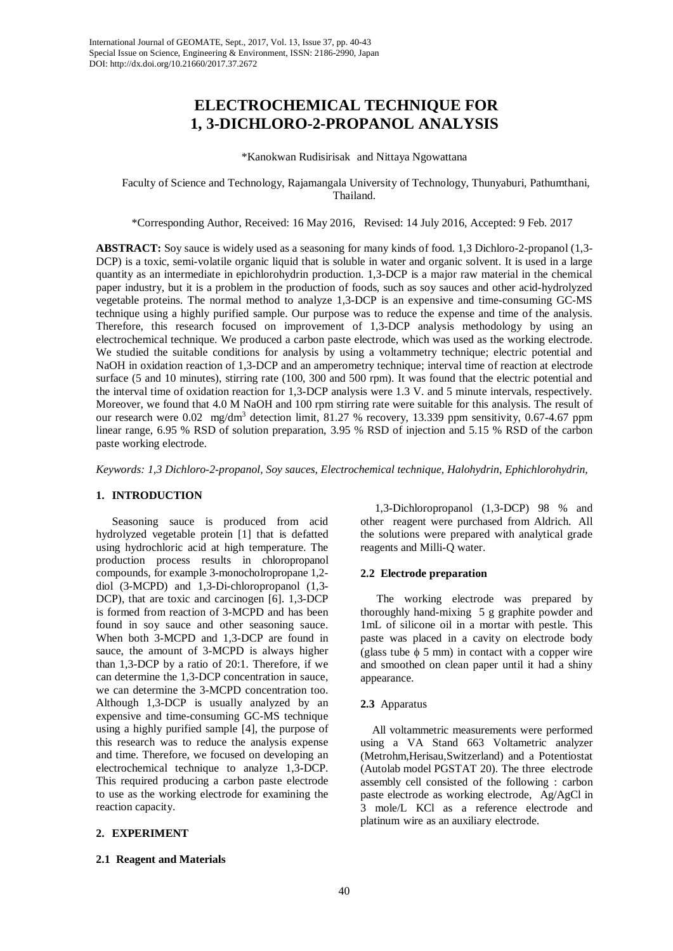# **ELECTROCHEMICAL TECHNIQUE FOR 1, 3-DICHLORO-2-PROPANOL ANALYSIS**

\*Kanokwan Rudisirisak and Nittaya Ngowattana

Faculty of Science and Technology, Rajamangala University of Technology, Thunyaburi, Pathumthani, Thailand.

\*Corresponding Author, Received: 16 May 2016, Revised: 14 July 2016, Accepted: 9 Feb. 2017

**ABSTRACT:** Soy sauce is widely used as a seasoning for many kinds of food. 1,3 Dichloro-2-propanol (1,3- DCP) is a toxic, semi-volatile organic liquid that is soluble in water and organic solvent. It is used in a large quantity as an intermediate in epichlorohydrin production. 1,3-DCP is a major raw material in the chemical paper industry, but it is a problem in the production of foods, such as soy sauces and other acid-hydrolyzed vegetable proteins. The normal method to analyze 1,3-DCP is an expensive and time-consuming GC-MS technique using a highly purified sample. Our purpose was to reduce the expense and time of the analysis. Therefore, this research focused on improvement of 1,3-DCP analysis methodology by using an electrochemical technique. We produced a carbon paste electrode, which was used as the working electrode. We studied the suitable conditions for analysis by using a voltammetry technique; electric potential and NaOH in oxidation reaction of 1,3-DCP and an amperometry technique; interval time of reaction at electrode surface (5 and 10 minutes), stirring rate (100, 300 and 500 rpm). It was found that the electric potential and the interval time of oxidation reaction for 1,3-DCP analysis were 1.3 V. and 5 minute intervals, respectively. Moreover, we found that 4.0 M NaOH and 100 rpm stirring rate were suitable for this analysis. The result of our research were 0.02 mg/dm3 detection limit, 81.27 % recovery, 13.339 ppm sensitivity, 0.67-4.67 ppm linear range, 6.95 % RSD of solution preparation, 3.95 % RSD of injection and 5.15 % RSD of the carbon paste working electrode.

*Keywords: 1,3 Dichloro-2-propanol, Soy sauces, Electrochemical technique, Halohydrin, Ephichlorohydrin,* 

## **1. INTRODUCTION**

Seasoning sauce is produced from acid hydrolyzed vegetable protein [1] that is defatted using hydrochloric acid at high temperature. The production process results in chloropropanol compounds, for example 3-monocholropropane 1,2 diol (3-MCPD) and 1,3-Di-chloropropanol (1,3- DCP), that are toxic and carcinogen [6]. 1,3-DCP is formed from reaction of 3-MCPD and has been found in soy sauce and other seasoning sauce. When both 3-MCPD and 1,3-DCP are found in sauce, the amount of 3-MCPD is always higher than 1,3-DCP by a ratio of 20:1. Therefore, if we can determine the 1,3-DCP concentration in sauce, we can determine the 3-MCPD concentration too. Although 1,3-DCP is usually analyzed by an expensive and time-consuming GC-MS technique using a highly purified sample [4], the purpose of this research was to reduce the analysis expense and time. Therefore, we focused on developing an electrochemical technique to analyze 1,3-DCP. This required producing a carbon paste electrode to use as the working electrode for examining the reaction capacity.

# **2. EXPERIMENT**

## **2.1 Reagent and Materials**

 1,3-Dichloropropanol (1,3-DCP) 98 % and other reagent were purchased from Aldrich. All the solutions were prepared with analytical grade reagents and Milli-Q water.

## **2.2 Electrode preparation**

The working electrode was prepared by thoroughly hand-mixing 5 g graphite powder and 1mL of silicone oil in a mortar with pestle. This paste was placed in a cavity on electrode body (glass tube  $\phi$  5 mm) in contact with a copper wire and smoothed on clean paper until it had a shiny appearance.

# **2.3** Apparatus

 All voltammetric measurements were performed using a VA Stand 663 Voltametric analyzer (Metrohm,Herisau,Switzerland) and a Potentiostat (Autolab model PGSTAT 20). The three electrode assembly cell consisted of the following : carbon paste electrode as working electrode, Ag/AgCl in 3 mole/L KCl as a reference electrode and platinum wire as an auxiliary electrode.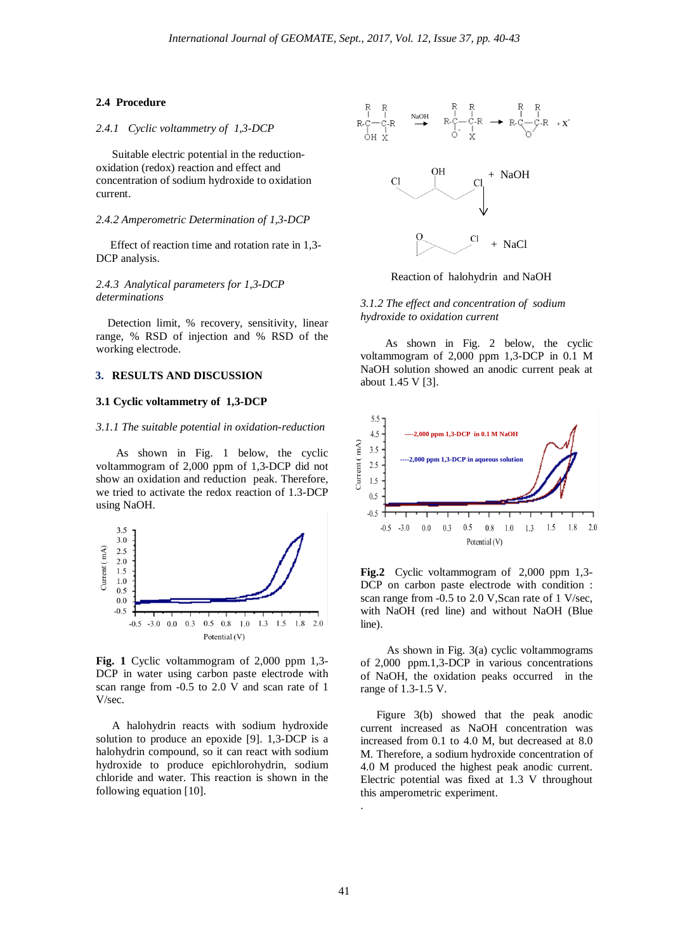#### **2.4 Procedure**

# *2.4.1 Cyclic voltammetry of 1,3-DCP*

Suitable electric potential in the reductionoxidation (redox) reaction and effect and concentration of sodium hydroxide to oxidation current.

#### *2.4.2 Amperometric Determination of 1,3-DCP*

 Effect of reaction time and rotation rate in 1,3- DCP analysis.

# *2.4.3 Analytical parameters for 1,3-DCP determinations*

 Detection limit, % recovery, sensitivity, linear range, % RSD of injection and % RSD of the working electrode.

# **3. RESULTS AND DISCUSSION**

#### **3.1 Cyclic voltammetry of 1,3-DCP**

#### *3.1.1 The suitable potential in oxidation-reduction*

 As shown in Fig. 1 below, the cyclic voltammogram of 2,000 ppm of 1,3-DCP did not show an oxidation and reduction peak. Therefore, we tried to activate the redox reaction of 1.3-DCP using NaOH.



**Fig. 1** Cyclic voltammogram of 2,000 ppm 1,3- DCP in water using carbon paste electrode with scan range from -0.5 to 2.0 V and scan rate of 1 V/sec.

A halohydrin reacts with sodium hydroxide solution to produce an epoxide [9]. 1,3-DCP is a halohydrin compound, so it can react with sodium hydroxide to produce epichlorohydrin, sodium chloride and water. This reaction is shown in the following equation [10].



Reaction of halohydrin and NaOH

# *3.1.2 The effect and concentration of sodium hydroxide to oxidation current*

 As shown in Fig. 2 below, the cyclic voltammogram of 2,000 ppm 1,3-DCP in 0.1 M NaOH solution showed an anodic current peak at about 1.45 V [3].



**Fig.2** Cyclic voltammogram of 2,000 ppm 1,3- DCP on carbon paste electrode with condition : scan range from -0.5 to 2.0 V, Scan rate of 1 V/sec, with NaOH (red line) and without NaOH (Blue line).

 As shown in Fig. 3(a) cyclic voltammograms of 2,000 ppm.1,3-DCP in various concentrations of NaOH, the oxidation peaks occurred in the range of 1.3-1.5 V.

Figure 3(b) showed that the peak anodic current increased as NaOH concentration was increased from 0.1 to 4.0 M, but decreased at 8.0 M. Therefore, a sodium hydroxide concentration of 4.0 M produced the highest peak anodic current. Electric potential was fixed at 1.3 V throughout this amperometric experiment.

.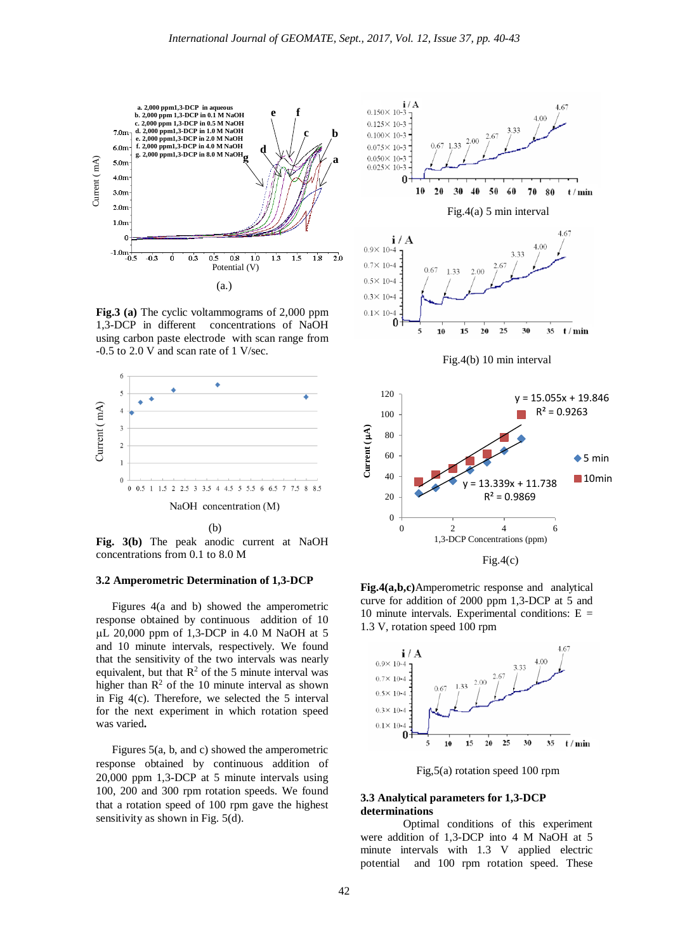

**Fig.3 (a)** The cyclic voltammograms of 2,000 ppm 1,3-DCP in different concentrations of NaOH using carbon paste electrode with scan range from -0.5 to 2.0 V and scan rate of 1 V/sec.



**Fig. 3(b)** The peak anodic current at NaOH concentrations from 0.1 to 8.0 M

#### **3.2 Amperometric Determination of 1,3-DCP**

Figures 4(a and b) showed the amperometric response obtained by continuous addition of 10 µL 20,000 ppm of 1,3-DCP in 4.0 M NaOH at 5 and 10 minute intervals, respectively. We found that the sensitivity of the two intervals was nearly equivalent, but that  $R^2$  of the 5 minute interval was higher than  $\mathbb{R}^2$  of the 10 minute interval as shown in Fig 4(c). Therefore, we selected the 5 interval for the next experiment in which rotation speed was varied**.**

Figures 5(a, b, and c) showed the amperometric response obtained by continuous addition of 20,000 ppm 1,3-DCP at 5 minute intervals using 100, 200 and 300 rpm rotation speeds. We found that a rotation speed of 100 rpm gave the highest sensitivity as shown in Fig. 5(d).



**Fig.4(a,b,c)**Amperometric response and analytical curve for addition of 2000 ppm 1,3-DCP at 5 and 10 minute intervals. Experimental conditions:  $E =$ 1.3 V, rotation speed 100 rpm



Fig,5(a) rotation speed 100 rpm

### **3.3 Analytical parameters for 1,3-DCP determinations**

 Optimal conditions of this experiment were addition of 1,3-DCP into 4 M NaOH at 5 minute intervals with 1.3 V applied electric potential and 100 rpm rotation speed. These